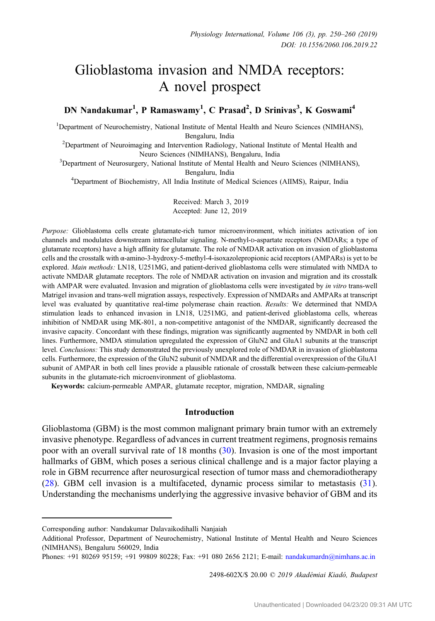# Glioblastoma invasion and NMDA receptors: A novel prospect

## DN Nandakumar<sup>1</sup>, P Ramaswamy<sup>1</sup>, C Prasad<sup>2</sup>, D Srinivas<sup>3</sup>, K Goswami<sup>4</sup>

<sup>1</sup>Department of Neurochemistry, National Institute of Mental Health and Neuro Sciences (NIMHANS),

Bengaluru, India<br><sup>2</sup>Department of Neuroimaging and Intervention Radiology, National Institute of Mental Health and

Neuro Sciences (NIMHANS), Bengaluru, India<br><sup>3</sup>Department of Neurosurgery, National Institute of Mental Health and Neuro Sciences (NIMHANS),

Bengaluru, India<br><sup>4</sup>Department of Biochemistry, All India Institute of Medical Sciences (AIIMS), Raipur, India

Received: March 3, 2019 Accepted: June 12, 2019

Purpose: Glioblastoma cells create glutamate-rich tumor microenvironment, which initiates activation of ion channels and modulates downstream intracellular signaling. N-methyl-p-aspartate receptors (NMDARs; a type of glutamate receptors) have a high affinity for glutamate. The role of NMDAR activation on invasion of glioblastoma cells and the crosstalk with α-amino-3-hydroxy-5-methyl-4-isoxazolepropionic acid receptors (AMPARs) is yet to be explored. Main methods: LN18, U251MG, and patient-derived glioblastoma cells were stimulated with NMDA to activate NMDAR glutamate receptors. The role of NMDAR activation on invasion and migration and its crosstalk with AMPAR were evaluated. Invasion and migration of glioblastoma cells were investigated by *in vitro* trans-well Matrigel invasion and trans-well migration assays, respectively. Expression of NMDARs and AMPARs at transcript level was evaluated by quantitative real-time polymerase chain reaction. Results: We determined that NMDA stimulation leads to enhanced invasion in LN18, U251MG, and patient-derived glioblastoma cells, whereas inhibition of NMDAR using MK-801, a non-competitive antagonist of the NMDAR, significantly decreased the invasive capacity. Concordant with these findings, migration was significantly augmented by NMDAR in both cell lines. Furthermore, NMDA stimulation upregulated the expression of GluN2 and GluA1 subunits at the transcript level. Conclusions: This study demonstrated the previously unexplored role of NMDAR in invasion of glioblastoma cells. Furthermore, the expression of the GluN2 subunit of NMDAR and the differential overexpression of the GluA1 subunit of AMPAR in both cell lines provide a plausible rationale of crosstalk between these calcium-permeable subunits in the glutamate-rich microenvironment of glioblastoma.

Keywords: calcium-permeable AMPAR, glutamate receptor, migration, NMDAR, signaling

## Introduction

Glioblastoma (GBM) is the most common malignant primary brain tumor with an extremely invasive phenotype. Regardless of advances in current treatment regimens, prognosis remains poor with an overall survival rate of 18 months [\(30](#page-10-0)). Invasion is one of the most important hallmarks of GBM, which poses a serious clinical challenge and is a major factor playing a role in GBM recurrence after neurosurgical resection of tumor mass and chemoradiotherapy [\(28](#page-9-0)). GBM cell invasion is a multifaceted, dynamic process similar to metastasis [\(31](#page-10-0)). Understanding the mechanisms underlying the aggressive invasive behavior of GBM and its

2498-602X/\$ 20.00 © 2019 Akadémiai Kiadó, Budapest

Corresponding author: Nandakumar Dalavaikodihalli Nanjaiah

Additional Professor, Department of Neurochemistry, National Institute of Mental Health and Neuro Sciences (NIMHANS), Bengaluru 560029, India

Phones: +91 80269 95159; +91 99809 80228; Fax: +91 080 2656 2121; E-mail: [nandakumardn@nimhans.ac.in](mailto:nandakumardn@nimhans.ac.in)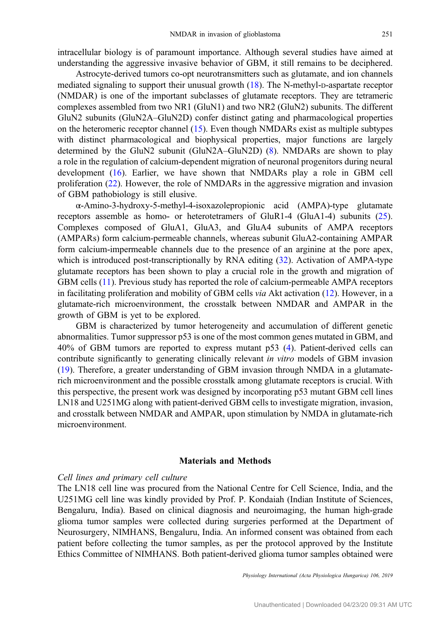intracellular biology is of paramount importance. Although several studies have aimed at understanding the aggressive invasive behavior of GBM, it still remains to be deciphered.

Astrocyte-derived tumors co-opt neurotransmitters such as glutamate, and ion channels mediated signaling to support their unusual growth [\(18\)](#page-9-0). The N-methyl-D-aspartate receptor (NMDAR) is one of the important subclasses of glutamate receptors. They are tetrameric complexes assembled from two NR1 (GluN1) and two NR2 (GluN2) subunits. The different GluN2 subunits (GluN2A–GluN2D) confer distinct gating and pharmacological properties on the heteromeric receptor channel ([15\)](#page-9-0). Even though NMDARs exist as multiple subtypes with distinct pharmacological and biophysical properties, major functions are largely determined by the GluN2 subunit (GluN2A–GluN2D) [\(8](#page-9-0)). NMDARs are shown to play a role in the regulation of calcium-dependent migration of neuronal progenitors during neural development [\(16](#page-9-0)). Earlier, we have shown that NMDARs play a role in GBM cell proliferation [\(22](#page-9-0)). However, the role of NMDARs in the aggressive migration and invasion of GBM pathobiology is still elusive.

α-Amino-3-hydroxy-5-methyl-4-isoxazolepropionic acid (AMPA)-type glutamate receptors assemble as homo- or heterotetramers of GluR1-4 (GluA1-4) subunits [\(25](#page-9-0)). Complexes composed of GluA1, GluA3, and GluA4 subunits of AMPA receptors (AMPARs) form calcium-permeable channels, whereas subunit GluA2-containing AMPAR form calcium-impermeable channels due to the presence of an arginine at the pore apex, which is introduced post-transcriptionally by RNA editing [\(32](#page-10-0)). Activation of AMPA-type glutamate receptors has been shown to play a crucial role in the growth and migration of GBM cells ([11\)](#page-9-0). Previous study has reported the role of calcium-permeable AMPA receptors in facilitating proliferation and mobility of GBM cells via Akt activation ([12\)](#page-9-0). However, in a glutamate-rich microenvironment, the crosstalk between NMDAR and AMPAR in the growth of GBM is yet to be explored.

GBM is characterized by tumor heterogeneity and accumulation of different genetic abnormalities. Tumor suppressor p53 is one of the most common genes mutated in GBM, and 40% of GBM tumors are reported to express mutant p53 [\(4](#page-9-0)). Patient-derived cells can contribute significantly to generating clinically relevant in vitro models of GBM invasion [\(19](#page-9-0)). Therefore, a greater understanding of GBM invasion through NMDA in a glutamaterich microenvironment and the possible crosstalk among glutamate receptors is crucial. With this perspective, the present work was designed by incorporating p53 mutant GBM cell lines LN18 and U251MG along with patient-derived GBM cells to investigate migration, invasion, and crosstalk between NMDAR and AMPAR, upon stimulation by NMDA in glutamate-rich microenvironment.

## Materials and Methods

#### Cell lines and primary cell culture

The LN18 cell line was procured from the National Centre for Cell Science, India, and the U251MG cell line was kindly provided by Prof. P. Kondaiah (Indian Institute of Sciences, Bengaluru, India). Based on clinical diagnosis and neuroimaging, the human high-grade glioma tumor samples were collected during surgeries performed at the Department of Neurosurgery, NIMHANS, Bengaluru, India. An informed consent was obtained from each patient before collecting the tumor samples, as per the protocol approved by the Institute Ethics Committee of NIMHANS. Both patient-derived glioma tumor samples obtained were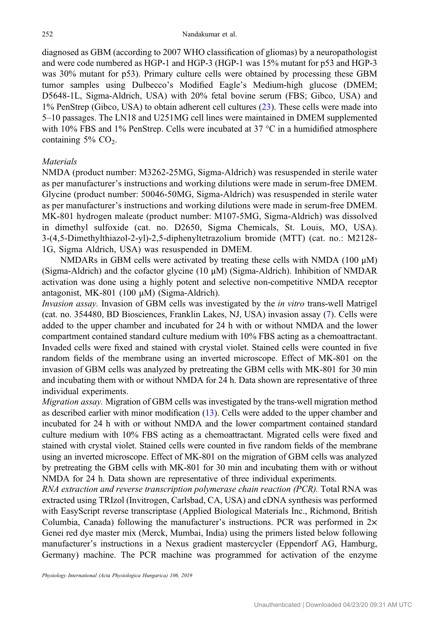diagnosed as GBM (according to 2007 WHO classification of gliomas) by a neuropathologist and were code numbered as HGP-1 and HGP-3 (HGP-1 was 15% mutant for p53 and HGP-3 was 30% mutant for p53). Primary culture cells were obtained by processing these GBM tumor samples using Dulbecco's Modified Eagle's Medium-high glucose (DMEM; D5648-1L, Sigma-Aldrich, USA) with 20% fetal bovine serum (FBS; Gibco, USA) and 1% PenStrep (Gibco, USA) to obtain adherent cell cultures ([23\)](#page-9-0). These cells were made into 5–10 passages. The LN18 and U251MG cell lines were maintained in DMEM supplemented with 10% FBS and 1% PenStrep. Cells were incubated at 37 °C in a humidified atmosphere containing  $5\%$  CO<sub>2</sub>.

## Materials

NMDA (product number: M3262-25MG, Sigma-Aldrich) was resuspended in sterile water as per manufacturer's instructions and working dilutions were made in serum-free DMEM. Glycine (product number: 50046-50MG, Sigma-Aldrich) was resuspended in sterile water as per manufacturer's instructions and working dilutions were made in serum-free DMEM. MK-801 hydrogen maleate (product number: M107-5MG, Sigma-Aldrich) was dissolved in dimethyl sulfoxide (cat. no. D2650, Sigma Chemicals, St. Louis, MO, USA). 3-(4,5-Dimethylthiazol-2-yl)-2,5-diphenyltetrazolium bromide (MTT) (cat. no.: M2128- 1G, Sigma Aldrich, USA) was resuspended in DMEM.

NMDARs in GBM cells were activated by treating these cells with NMDA (100 μM) (Sigma-Aldrich) and the cofactor glycine (10 μM) (Sigma-Aldrich). Inhibition of NMDAR activation was done using a highly potent and selective non-competitive NMDA receptor antagonist, MK-801 (100 μM) (Sigma-Aldrich).

Invasion assay. Invasion of GBM cells was investigated by the in vitro trans-well Matrigel (cat. no. 354480, BD Biosciences, Franklin Lakes, NJ, USA) invasion assay [\(7](#page-9-0)). Cells were added to the upper chamber and incubated for 24 h with or without NMDA and the lower compartment contained standard culture medium with 10% FBS acting as a chemoattractant. Invaded cells were fixed and stained with crystal violet. Stained cells were counted in five random fields of the membrane using an inverted microscope. Effect of MK-801 on the invasion of GBM cells was analyzed by pretreating the GBM cells with MK-801 for 30 min and incubating them with or without NMDA for 24 h. Data shown are representative of three individual experiments.

Migration assay. Migration of GBM cells was investigated by the trans-well migration method as described earlier with minor modification ([13](#page-9-0)). Cells were added to the upper chamber and incubated for 24 h with or without NMDA and the lower compartment contained standard culture medium with 10% FBS acting as a chemoattractant. Migrated cells were fixed and stained with crystal violet. Stained cells were counted in five random fields of the membrane using an inverted microscope. Effect of MK-801 on the migration of GBM cells was analyzed by pretreating the GBM cells with MK-801 for 30 min and incubating them with or without NMDA for 24 h. Data shown are representative of three individual experiments.

RNA extraction and reverse transcription polymerase chain reaction (PCR). Total RNA was extracted using TRIzol (Invitrogen, Carlsbad, CA, USA) and cDNA synthesis was performed with EasyScript reverse transcriptase (Applied Biological Materials Inc., Richmond, British Columbia, Canada) following the manufacturer's instructions. PCR was performed in  $2\times$ Genei red dye master mix (Merck, Mumbai, India) using the primers listed below following manufacturer's instructions in a Nexus gradient mastercycler (Eppendorf AG, Hamburg, Germany) machine. The PCR machine was programmed for activation of the enzyme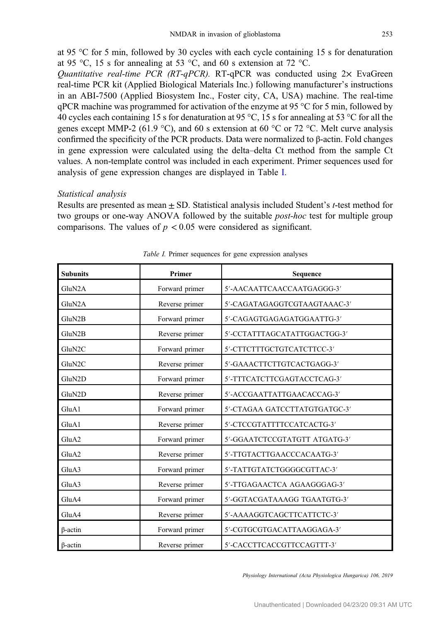at 95 °C for 5 min, followed by 30 cycles with each cycle containing 15 s for denaturation at 95 °C, 15 s for annealing at 53 °C, and 60 s extension at 72 °C.

Quantitative real-time PCR (RT-qPCR). RT-qPCR was conducted using  $2 \times$  EvaGreen real-time PCR kit (Applied Biological Materials Inc.) following manufacturer's instructions in an ABI-7500 (Applied Biosystem Inc., Foster city, CA, USA) machine. The real-time  $qPCR$  machine was programmed for activation of the enzyme at 95 °C for 5 min, followed by 40 cycles each containing 15 s for denaturation at 95 °C, 15 s for annealing at 53 °C for all the genes except MMP-2 (61.9 °C), and 60 s extension at 60 °C or 72 °C. Melt curve analysis confirmed the specificity of the PCR products. Data were normalized to β-actin. Fold changes in gene expression were calculated using the delta–delta Ct method from the sample Ct values. A non-template control was included in each experiment. Primer sequences used for analysis of gene expression changes are displayed in Table I.

## Statistical analysis

Results are presented as mean  $\pm$  SD. Statistical analysis included Student's *t*-test method for two groups or one-way ANOVA followed by the suitable post-hoc test for multiple group comparisons. The values of  $p < 0.05$  were considered as significant.

| <b>Subunits</b> | Primer         | Sequence                      |
|-----------------|----------------|-------------------------------|
| GluN2A          | Forward primer | 5'-AACAATTCAACCAATGAGGG-3'    |
| GluN2A          | Reverse primer | 5'-CAGATAGAGGTCGTAAGTAAAC-3'  |
| GluN2B          | Forward primer | 5'-CAGAGTGAGAGATGGAATTG-3'    |
| GluN2B          | Reverse primer | 5'-CCTATTTAGCATATTGGACTGG-3'  |
| GluN2C          | Forward primer | 5'-CTTCTTTGCTGTCATCTTCC-3'    |
| GluN2C          | Reverse primer | 5'-GAAACTTCTTGTCACTGAGG-3'    |
| GluN2D          | Forward primer | 5'-TTTCATCTTCGAGTACCTCAG-3'   |
| GluN2D          | Reverse primer | 5'-ACCGAATTATTGAACACCAG-3'    |
| GluA1           | Forward primer | 5'-CTAGAA GATCCTTATGTGATGC-3' |
| GluA1           | Reverse primer | 5'-CTCCGTATTTTCCATCACTG-3'    |
| GluA2           | Forward primer | 5'-GGAATCTCCGTATGTT ATGATG-3' |
| GluA2           | Reverse primer | 5'-TTGTACTTGAACCCACAATG-3'    |
| GluA3           | Forward primer | 5'-TATTGTATCTGGGGCGTTAC-3'    |
| GluA3           | Reverse primer | 5'-TTGAGAACTCA AGAAGGGAG-3'   |
| GluA4           | Forward primer | 5'-GGTACGATAAAGG TGAATGTG-3'  |
| GluA4           | Reverse primer | 5'-AAAAGGTCAGCTTCATTCTC-3'    |
| $\beta$ -actin  | Forward primer | 5'-CGTGCGTGACATTAAGGAGA-3'    |
| $\beta$ -actin  | Reverse primer | 5'-CACCTTCACCGTTCCAGTTT-3'    |

Table I. Primer sequences for gene expression analyses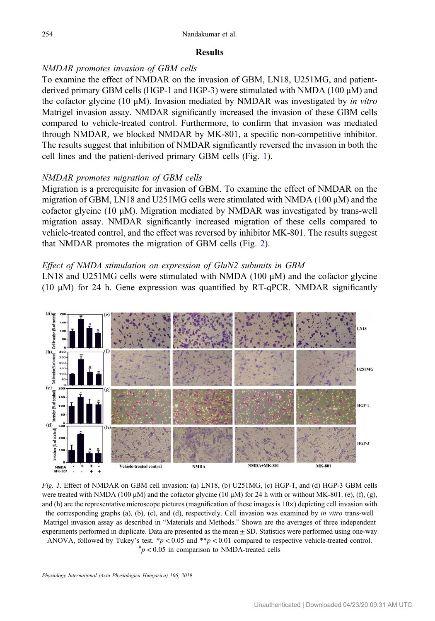## **Results**

## NMDAR promotes invasion of GBM cells

To examine the effect of NMDAR on the invasion of GBM, LN18, U251MG, and patientderived primary GBM cells (HGP-1 and HGP-3) were stimulated with NMDA (100 μM) and the cofactor glycine (10  $\mu$ M). Invasion mediated by NMDAR was investigated by *in vitro* Matrigel invasion assay. NMDAR significantly increased the invasion of these GBM cells compared to vehicle-treated control. Furthermore, to confirm that invasion was mediated through NMDAR, we blocked NMDAR by MK-801, a specific non-competitive inhibitor. The results suggest that inhibition of NMDAR significantly reversed the invasion in both the cell lines and the patient-derived primary GBM cells (Fig. 1).

## NMDAR promotes migration of GBM cells

Migration is a prerequisite for invasion of GBM. To examine the effect of NMDAR on the migration of GBM, LN18 and U251MG cells were stimulated with NMDA (100  $\mu$ M) and the cofactor glycine (10  $\mu$ M). Migration mediated by NMDAR was investigated by trans-well migration assay. NMDAR significantly increased migration of these cells compared to vehicle-treated control, and the effect was reversed by inhibitor MK-801. The results suggest that NMDAR promotes the migration of GBM cells (Fig. [2\)](#page-5-0).

## Effect of NMDA stimulation on expression of GluN2 subunits in GBM

LN18 and U251MG cells were stimulated with NMDA (100  $\mu$ M) and the cofactor glycine (10  $\mu$ M) for 24 h. Gene expression was quantified by RT-qPCR. NMDAR significantly



Fig. 1. Effect of NMDAR on GBM cell invasion: (a) LN18, (b) U251MG, (c) HGP-1, and (d) HGP-3 GBM cells were treated with NMDA (100 μM) and the cofactor glycine (10 μM) for 24 h with or without MK-801. (e), (f), (g), and (h) are the representative microscope pictures (magnification of these images is  $10\times$ ) depicting cell invasion with the corresponding graphs (a), (b), (c), and (d), respectively. Cell invasion was examined by in vitro trans-well Matrigel invasion assay as described in "Materials and Methods." Shown are the averages of three independent experiments performed in duplicate. Data are presented as the mean  $\pm$  SD. Statistics were performed using one-way ANOVA, followed by Tukey's test.  $\frac{*p}{0.05}$  and  $\frac{**p}{0.01}$  compared to respective vehicle-treated control.

 $p^{\mu}$   $\geq$  0.05 in comparison to NMDA-treated cells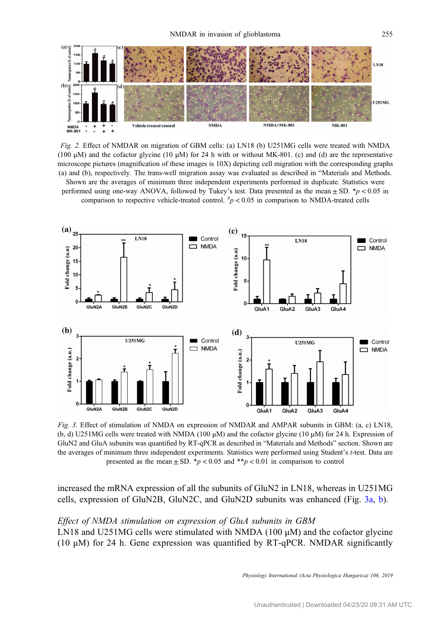<span id="page-5-0"></span>

Fig. 2. Effect of NMDAR on migration of GBM cells: (a) LN18 (b) U251MG cells were treated with NMDA (100  $\mu$ M) and the cofactor glycine (10  $\mu$ M) for 24 h with or without MK-801. (c) and (d) are the representative microscope pictures (magnification of these images is 10X) depicting cell migration with the corresponding graphs (a) and (b), respectively. The trans-well migration assay was evaluated as described in "Materials and Methods. Shown are the averages of minimum three independent experiments performed in duplicate. Statistics were performed using one-way ANOVA, followed by Tukey's test. Data presented as the mean  $\pm$  SD. \*p < 0.05 in comparison to respective vehicle-treated control.  $\frac{h}{p}$  < 0.05 in comparison to NMDA-treated cells



Fig. 3. Effect of stimulation of NMDA on expression of NMDAR and AMPAR subunits in GBM: (a, c) LN18, (b, d) U251MG cells were treated with NMDA (100  $\mu$ M) and the cofactor glycine (10  $\mu$ M) for 24 h. Expression of GluN2 and GluA subunits was quantified by RT-qPCR as described in "Materials and Methods" section. Shown are the averages of minimum three independent experiments. Statistics were performed using Student's t-test. Data are presented as the mean  $\pm$  SD. \*p < 0.05 and \*\*p < 0.01 in comparison to control

increased the mRNA expression of all the subunits of GluN2 in LN18, whereas in U251MG cells, expression of GluN2B, GluN2C, and GluN2D subunits was enhanced (Fig. 3a, b).

## Effect of NMDA stimulation on expression of GluA subunits in GBM

LN18 and U251MG cells were stimulated with NMDA (100 μM) and the cofactor glycine (10 μM) for 24 h. Gene expression was quantified by RT-qPCR. NMDAR significantly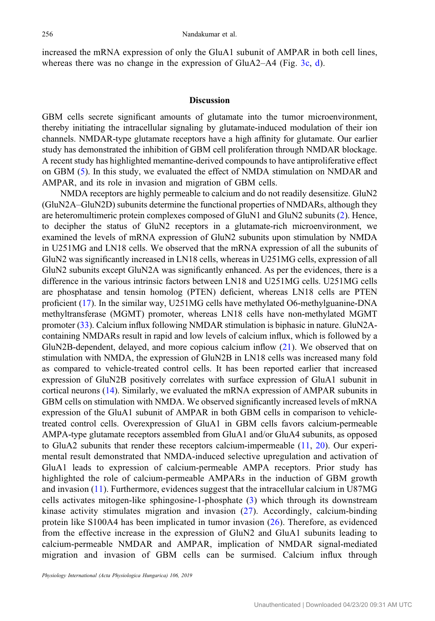increased the mRNA expression of only the GluA1 subunit of AMPAR in both cell lines, whereas there was no change in the expression of GluA2–A4 (Fig. [3c,](#page-5-0) [d](#page-5-0)).

### **Discussion**

GBM cells secrete significant amounts of glutamate into the tumor microenvironment, thereby initiating the intracellular signaling by glutamate-induced modulation of their ion channels. NMDAR-type glutamate receptors have a high affinity for glutamate. Our earlier study has demonstrated the inhibition of GBM cell proliferation through NMDAR blockage. A recent study has highlighted memantine-derived compounds to have antiproliferative effect on GBM ([5\)](#page-9-0). In this study, we evaluated the effect of NMDA stimulation on NMDAR and AMPAR, and its role in invasion and migration of GBM cells.

NMDA receptors are highly permeable to calcium and do not readily desensitize. GluN2 (GluN2A–GluN2D) subunits determine the functional properties of NMDARs, although they are heteromultimeric protein complexes composed of GluN1 and GluN2 subunits [\(2](#page-8-0)). Hence, to decipher the status of GluN2 receptors in a glutamate-rich microenvironment, we examined the levels of mRNA expression of GluN2 subunits upon stimulation by NMDA in U251MG and LN18 cells. We observed that the mRNA expression of all the subunits of GluN2 was significantly increased in LN18 cells, whereas in U251MG cells, expression of all GluN2 subunits except GluN2A was significantly enhanced. As per the evidences, there is a difference in the various intrinsic factors between LN18 and U251MG cells. U251MG cells are phosphatase and tensin homolog (PTEN) deficient, whereas LN18 cells are PTEN proficient ([17\)](#page-9-0). In the similar way, U251MG cells have methylated O6-methylguanine-DNA methyltransferase (MGMT) promoter, whereas LN18 cells have non-methylated MGMT promoter ([33\)](#page-10-0). Calcium influx following NMDAR stimulation is biphasic in nature. GluN2Acontaining NMDARs result in rapid and low levels of calcium influx, which is followed by a GluN2B-dependent, delayed, and more copious calcium inflow [\(21](#page-9-0)). We observed that on stimulation with NMDA, the expression of GluN2B in LN18 cells was increased many fold as compared to vehicle-treated control cells. It has been reported earlier that increased expression of GluN2B positively correlates with surface expression of GluA1 subunit in cortical neurons [\(14](#page-9-0)). Similarly, we evaluated the mRNA expression of AMPAR subunits in GBM cells on stimulation with NMDA. We observed significantly increased levels of mRNA expression of the GluA1 subunit of AMPAR in both GBM cells in comparison to vehicletreated control cells. Overexpression of GluA1 in GBM cells favors calcium-permeable AMPA-type glutamate receptors assembled from GluA1 and/or GluA4 subunits, as opposed to GluA2 subunits that render these receptors calcium-impermeable [\(11](#page-9-0), [20\)](#page-9-0). Our experimental result demonstrated that NMDA-induced selective upregulation and activation of GluA1 leads to expression of calcium-permeable AMPA receptors. Prior study has highlighted the role of calcium-permeable AMPARs in the induction of GBM growth and invasion ([11](#page-9-0)). Furthermore, evidences suggest that the intracellular calcium in U87MG cells activates mitogen-like sphingosine-1-phosphate ([3](#page-8-0)) which through its downstream kinase activity stimulates migration and invasion ([27\)](#page-9-0). Accordingly, calcium-binding protein like S100A4 has been implicated in tumor invasion ([26](#page-9-0)). Therefore, as evidenced from the effective increase in the expression of GluN2 and GluA1 subunits leading to calcium-permeable NMDAR and AMPAR, implication of NMDAR signal-mediated migration and invasion of GBM cells can be surmised. Calcium influx through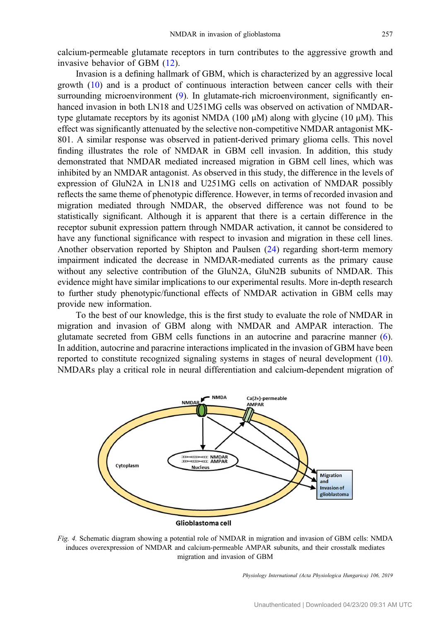<span id="page-7-0"></span>calcium-permeable glutamate receptors in turn contributes to the aggressive growth and invasive behavior of GBM [\(12](#page-9-0)).

Invasion is a defining hallmark of GBM, which is characterized by an aggressive local growth ([10](#page-9-0)) and is a product of continuous interaction between cancer cells with their surrounding microenvironment ([9\)](#page-9-0). In glutamate-rich microenvironment, significantly enhanced invasion in both LN18 and U251MG cells was observed on activation of NMDARtype glutamate receptors by its agonist NMDA (100 μM) along with glycine (10 μM). This effect was significantly attenuated by the selective non-competitive NMDAR antagonist MK-801. A similar response was observed in patient-derived primary glioma cells. This novel finding illustrates the role of NMDAR in GBM cell invasion. In addition, this study demonstrated that NMDAR mediated increased migration in GBM cell lines, which was inhibited by an NMDAR antagonist. As observed in this study, the difference in the levels of expression of GluN2A in LN18 and U251MG cells on activation of NMDAR possibly reflects the same theme of phenotypic difference. However, in terms of recorded invasion and migration mediated through NMDAR, the observed difference was not found to be statistically significant. Although it is apparent that there is a certain difference in the receptor subunit expression pattern through NMDAR activation, it cannot be considered to have any functional significance with respect to invasion and migration in these cell lines. Another observation reported by Shipton and Paulsen ([24\)](#page-9-0) regarding short-term memory impairment indicated the decrease in NMDAR-mediated currents as the primary cause without any selective contribution of the GluN2A, GluN2B subunits of NMDAR. This evidence might have similar implications to our experimental results. More in-depth research to further study phenotypic/functional effects of NMDAR activation in GBM cells may provide new information.

To the best of our knowledge, this is the first study to evaluate the role of NMDAR in migration and invasion of GBM along with NMDAR and AMPAR interaction. The glutamate secreted from GBM cells functions in an autocrine and paracrine manner [\(6](#page-9-0)). In addition, autocrine and paracrine interactions implicated in the invasion of GBM have been reported to constitute recognized signaling systems in stages of neural development [\(10](#page-9-0)). NMDARs play a critical role in neural differentiation and calcium-dependent migration of



Fig. 4. Schematic diagram showing a potential role of NMDAR in migration and invasion of GBM cells: NMDA induces overexpression of NMDAR and calcium-permeable AMPAR subunits, and their crosstalk mediates migration and invasion of GBM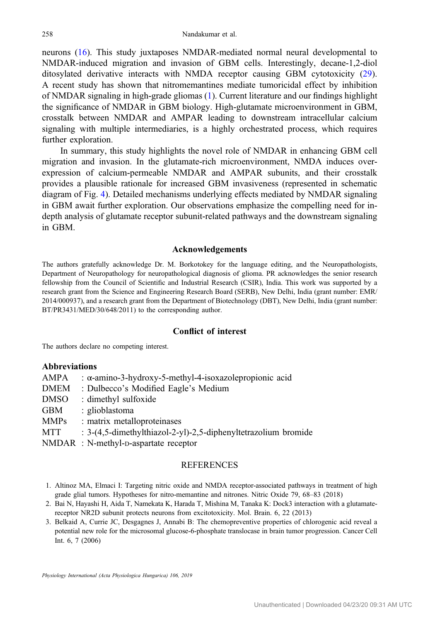<span id="page-8-0"></span>neurons [\(16](#page-9-0)). This study juxtaposes NMDAR-mediated normal neural developmental to NMDAR-induced migration and invasion of GBM cells. Interestingly, decane-1,2-diol ditosylated derivative interacts with NMDA receptor causing GBM cytotoxicity [\(29](#page-9-0)). A recent study has shown that nitromemantines mediate tumoricidal effect by inhibition of NMDAR signaling in high-grade gliomas (1). Current literature and our findings highlight the significance of NMDAR in GBM biology. High-glutamate microenvironment in GBM, crosstalk between NMDAR and AMPAR leading to downstream intracellular calcium signaling with multiple intermediaries, is a highly orchestrated process, which requires further exploration.

In summary, this study highlights the novel role of NMDAR in enhancing GBM cell migration and invasion. In the glutamate-rich microenvironment, NMDA induces overexpression of calcium-permeable NMDAR and AMPAR subunits, and their crosstalk provides a plausible rationale for increased GBM invasiveness (represented in schematic diagram of Fig. [4](#page-7-0)). Detailed mechanisms underlying effects mediated by NMDAR signaling in GBM await further exploration. Our observations emphasize the compelling need for indepth analysis of glutamate receptor subunit-related pathways and the downstream signaling in GBM.

### Acknowledgements

The authors gratefully acknowledge Dr. M. Borkotokey for the language editing, and the Neuropathologists, Department of Neuropathology for neuropathological diagnosis of glioma. PR acknowledges the senior research fellowship from the Council of Scientific and Industrial Research (CSIR), India. This work was supported by a research grant from the Science and Engineering Research Board (SERB), New Delhi, India (grant number: EMR/ 2014/000937), and a research grant from the Department of Biotechnology (DBT), New Delhi, India (grant number: BT/PR3431/MED/30/648/2011) to the corresponding author.

## Conflict of interest

The authors declare no competing interest.

#### Abbreviations

| AMPA  | : $\alpha$ -amino-3-hydroxy-5-methyl-4-isoxazole propionic acid |
|-------|-----------------------------------------------------------------|
| DMEM  | : Dulbecco's Modified Eagle's Medium                            |
| DMSO  | : dimethyl sulfoxide                                            |
| GBM   | : glioblastoma                                                  |
| MMPs  | : matrix metalloproteinases                                     |
| MTT   | : 3-(4,5-dimethylthiazol-2-yl)-2,5-diphenyltetrazolium bromide  |
| NMDAR | $\cdot$ N-methyl-p-aspartate receptor                           |

NMDAR : N-methyl-D-aspartate receptor

## **REFERENCES**

- 1. Altinoz MA, Elmaci I: Targeting nitric oxide and NMDA receptor-associated pathways in treatment of high grade glial tumors. Hypotheses for nitro-memantine and nitrones. Nitric Oxide 79, 68–83 (2018)
- 2. Bai N, Hayashi H, Aida T, Namekata K, Harada T, Mishina M, Tanaka K: Dock3 interaction with a glutamatereceptor NR2D subunit protects neurons from excitotoxicity. Mol. Brain. 6, 22 (2013)
- 3. Belkaid A, Currie JC, Desgagnes J, Annabi B: The chemopreventive properties of chlorogenic acid reveal a potential new role for the microsomal glucose-6-phosphate translocase in brain tumor progression. Cancer Cell Int. 6, 7 (2006)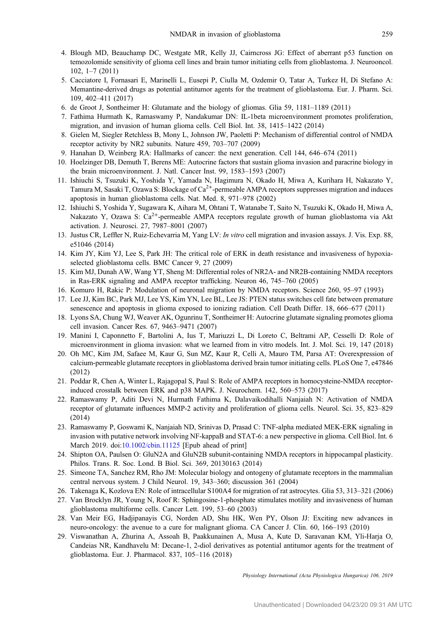- <span id="page-9-0"></span>4. Blough MD, Beauchamp DC, Westgate MR, Kelly JJ, Cairncross JG: Effect of aberrant p53 function on temozolomide sensitivity of glioma cell lines and brain tumor initiating cells from glioblastoma. J. Neurooncol. 102, 1–7 (2011)
- 5. Cacciatore I, Fornasari E, Marinelli L, Eusepi P, Ciulla M, Ozdemir O, Tatar A, Turkez H, Di Stefano A: Memantine-derived drugs as potential antitumor agents for the treatment of glioblastoma. Eur. J. Pharm. Sci. 109, 402–411 (2017)
- 6. de Groot J, Sontheimer H: Glutamate and the biology of gliomas. Glia 59, 1181–1189 (2011)
- 7. Fathima Hurmath K, Ramaswamy P, Nandakumar DN: IL-1beta microenvironment promotes proliferation, migration, and invasion of human glioma cells. Cell Biol. Int. 38, 1415–1422 (2014)
- 8. Gielen M, Siegler Retchless B, Mony L, Johnson JW, Paoletti P: Mechanism of differential control of NMDA receptor activity by NR2 subunits. Nature 459, 703–707 (2009)
- 9. Hanahan D, Weinberg RA: Hallmarks of cancer: the next generation. Cell 144, 646–674 (2011)
- 10. Hoelzinger DB, Demuth T, Berens ME: Autocrine factors that sustain glioma invasion and paracrine biology in the brain microenvironment. J. Natl. Cancer Inst. 99, 1583–1593 (2007)
- 11. Ishiuchi S, Tsuzuki K, Yoshida Y, Yamada N, Hagimura N, Okado H, Miwa A, Kurihara H, Nakazato Y, Tamura M, Sasaki T, Ozawa S: Blockage of  $Ca<sup>2+</sup>$ -permeable AMPA receptors suppresses migration and induces apoptosis in human glioblastoma cells. Nat. Med. 8, 971–978 (2002)
- 12. Ishiuchi S, Yoshida Y, Sugawara K, Aihara M, Ohtani T, Watanabe T, Saito N, Tsuzuki K, Okado H, Miwa A, Nakazato Y, Ozawa S:  $Ca<sup>2+</sup>$ -permeable AMPA receptors regulate growth of human glioblastoma via Akt activation. J. Neurosci. 27, 7987–8001 (2007)
- 13. Justus CR, Leffler N, Ruiz-Echevarria M, Yang LV: *In vitro cell migration and invasion assays.* J. Vis. Exp. 88, e51046 (2014)
- 14. Kim JY, Kim YJ, Lee S, Park JH: The critical role of ERK in death resistance and invasiveness of hypoxiaselected glioblastoma cells. BMC Cancer 9, 27 (2009)
- 15. Kim MJ, Dunah AW, Wang YT, Sheng M: Differential roles of NR2A- and NR2B-containing NMDA receptors in Ras-ERK signaling and AMPA receptor trafficking. Neuron 46, 745–760 (2005)
- 16. Komuro H, Rakic P: Modulation of neuronal migration by NMDA receptors. Science 260, 95–97 (1993)
- 17. Lee JJ, Kim BC, Park MJ, Lee YS, Kim YN, Lee BL, Lee JS: PTEN status switches cell fate between premature senescence and apoptosis in glioma exposed to ionizing radiation. Cell Death Differ. 18, 666–677 (2011)
- 18. Lyons SA, Chung WJ, Weaver AK, Ogunrinu T, Sontheimer H: Autocrine glutamate signaling promotes glioma cell invasion. Cancer Res. 67, 9463–9471 (2007)
- 19. Manini I, Caponnetto F, Bartolini A, Ius T, Mariuzzi L, Di Loreto C, Beltrami AP, Cesselli D: Role of microenvironment in glioma invasion: what we learned from in vitro models. Int. J. Mol. Sci. 19, 147 (2018)
- 20. Oh MC, Kim JM, Safaee M, Kaur G, Sun MZ, Kaur R, Celli A, Mauro TM, Parsa AT: Overexpression of calcium-permeable glutamate receptors in glioblastoma derived brain tumor initiating cells. PLoS One 7, e47846 (2012)
- 21. Poddar R, Chen A, Winter L, Rajagopal S, Paul S: Role of AMPA receptors in homocysteine-NMDA receptorinduced crosstalk between ERK and p38 MAPK. J. Neurochem. 142, 560–573 (2017)
- 22. Ramaswamy P, Aditi Devi N, Hurmath Fathima K, Dalavaikodihalli Nanjaiah N: Activation of NMDA receptor of glutamate influences MMP-2 activity and proliferation of glioma cells. Neurol. Sci. 35, 823–829 (2014)
- 23. Ramaswamy P, Goswami K, Nanjaiah ND, Srinivas D, Prasad C: TNF-alpha mediated MEK-ERK signaling in invasion with putative network involving NF-kappaB and STAT-6: a new perspective in glioma. Cell Biol. Int. 6 March 2019. doi[:10.1002/cbin.11125](http://dx.doi.org/10.1002/cbin.11125) [Epub ahead of print]
- 24. Shipton OA, Paulsen O: GluN2A and GluN2B subunit-containing NMDA receptors in hippocampal plasticity. Philos. Trans. R. Soc. Lond. B Biol. Sci. 369, 20130163 (2014)
- 25. Simeone TA, Sanchez RM, Rho JM: Molecular biology and ontogeny of glutamate receptors in the mammalian central nervous system. J Child Neurol. 19, 343–360; discussion 361 (2004)
- 26. Takenaga K, Kozlova EN: Role of intracellular S100A4 for migration of rat astrocytes. Glia 53, 313–321 (2006)
- 27. Van Brocklyn JR, Young N, Roof R: Sphingosine-1-phosphate stimulates motility and invasiveness of human glioblastoma multiforme cells. Cancer Lett. 199, 53–60 (2003)
- 28. Van Meir EG, Hadjipanayis CG, Norden AD, Shu HK, Wen PY, Olson JJ: Exciting new advances in neuro-oncology: the avenue to a cure for malignant glioma. CA Cancer J. Clin. 60, 166–193 (2010)
- 29. Viswanathan A, Zhurina A, Assoah B, Paakkunainen A, Musa A, Kute D, Saravanan KM, Yli-Harja O, Candeias NR, Kandhavelu M: Decane-1, 2-diol derivatives as potential antitumor agents for the treatment of glioblastoma. Eur. J. Pharmacol. 837, 105–116 (2018)